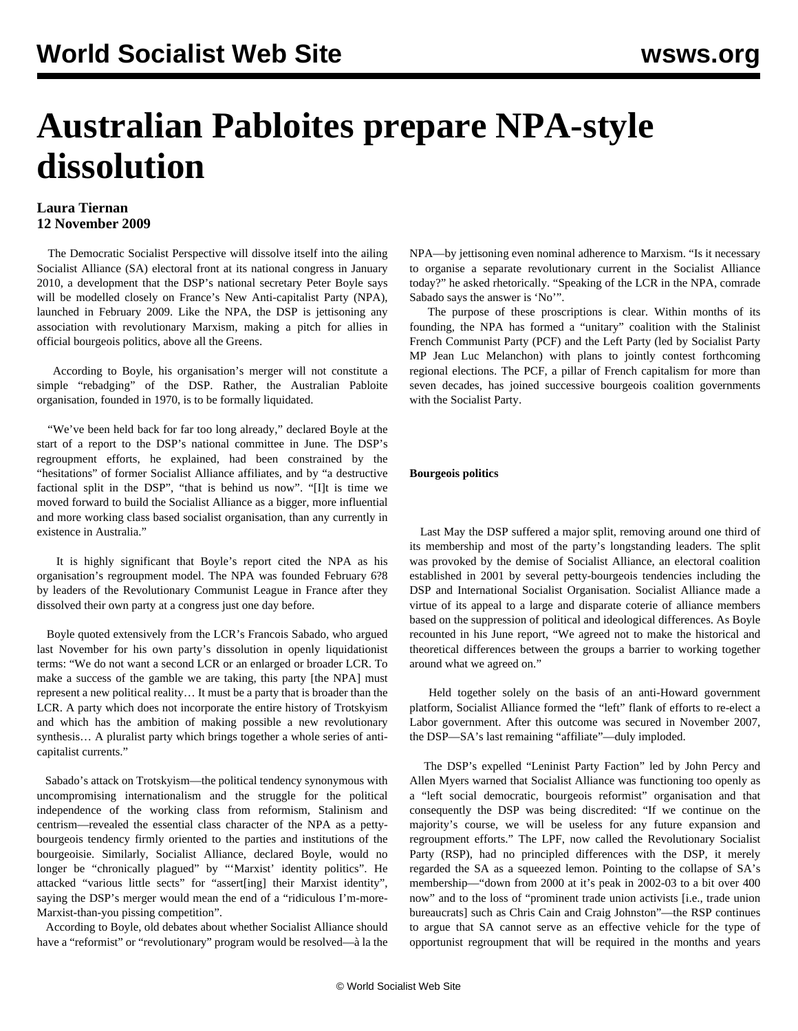# **Australian Pabloites prepare NPA-style dissolution**

### **Laura Tiernan 12 November 2009**

 The Democratic Socialist Perspective will dissolve itself into the ailing Socialist Alliance (SA) electoral front at its national congress in January 2010, a development that the DSP's national secretary Peter Boyle says will be modelled closely on France's New Anti-capitalist Party (NPA), launched in February 2009. Like the NPA, the DSP is jettisoning any association with revolutionary Marxism, making a pitch for allies in official bourgeois politics, above all the Greens.

 According to Boyle, his organisation's merger will not constitute a simple "rebadging" of the DSP. Rather, the Australian Pabloite organisation, founded in 1970, is to be formally liquidated.

"We've been held back for far too long already," declared Boyle at the start of a report to the DSP's national committee in June. The DSP's regroupment efforts, he explained, had been constrained by the "hesitations" of former Socialist Alliance affiliates, and by "a destructive factional split in the DSP", "that is behind us now". "[I]t is time we moved forward to build the Socialist Alliance as a bigger, more influential and more working class based socialist organisation, than any currently in existence in Australia."

 It is highly significant that Boyle's report cited the NPA as his organisation's regroupment model. The NPA was founded February 6?8 by leaders of the Revolutionary Communist League in France after they dissolved their own party at a congress just one day before.

 Boyle quoted extensively from the LCR's Francois Sabado, who argued last November for his own party's dissolution in openly liquidationist terms: "We do not want a second LCR or an enlarged or broader LCR. To make a success of the gamble we are taking, this party [the NPA] must represent a new political reality… It must be a party that is broader than the LCR. A party which does not incorporate the entire history of Trotskyism and which has the ambition of making possible a new revolutionary synthesis… A pluralist party which brings together a whole series of anticapitalist currents."

 Sabado's attack on Trotskyism—the political tendency synonymous with uncompromising internationalism and the struggle for the political independence of the working class from reformism, Stalinism and centrism—revealed the essential class character of the NPA as a pettybourgeois tendency firmly oriented to the parties and institutions of the bourgeoisie. Similarly, Socialist Alliance, declared Boyle, would no longer be "chronically plagued" by "'Marxist' identity politics". He attacked "various little sects" for "assert[ing] their Marxist identity", saying the DSP's merger would mean the end of a "ridiculous I'm-more-Marxist-than-you pissing competition".

 According to Boyle, old debates about whether Socialist Alliance should have a "reformist" or "revolutionary" program would be resolved—à la the

NPA—by jettisoning even nominal adherence to Marxism. "Is it necessary to organise a separate revolutionary current in the Socialist Alliance today?" he asked rhetorically. "Speaking of the LCR in the NPA, comrade Sabado says the answer is 'No'".

 The purpose of these proscriptions is clear. Within months of its founding, the NPA has formed a "unitary" coalition with the Stalinist French Communist Party (PCF) and the Left Party (led by Socialist Party MP Jean Luc Melanchon) with plans to jointly contest forthcoming regional elections. The PCF, a pillar of French capitalism for more than seven decades, has joined successive bourgeois coalition governments with the Socialist Party.

#### **Bourgeois politics**

 Last May the DSP suffered a major split, removing around one third of its membership and most of the party's longstanding leaders. The split was provoked by the demise of Socialist Alliance, an electoral coalition established in 2001 by several petty-bourgeois tendencies including the DSP and International Socialist Organisation. Socialist Alliance made a virtue of its appeal to a large and disparate coterie of alliance members based on the suppression of political and ideological differences. As Boyle recounted in his June report, "We agreed not to make the historical and theoretical differences between the groups a barrier to working together around what we agreed on."

 Held together solely on the basis of an anti-Howard government platform, Socialist Alliance formed the "left" flank of efforts to re-elect a Labor government. After this outcome was secured in November 2007, the DSP—SA's last remaining "affiliate"—duly imploded.

 The DSP's expelled "Leninist Party Faction" led by John Percy and Allen Myers warned that Socialist Alliance was functioning too openly as a "left social democratic, bourgeois reformist" organisation and that consequently the DSP was being discredited: "If we continue on the majority's course, we will be useless for any future expansion and regroupment efforts." The LPF, now called the Revolutionary Socialist Party (RSP), had no principled differences with the DSP, it merely regarded the SA as a squeezed lemon. Pointing to the collapse of SA's membership—"down from 2000 at it's peak in 2002-03 to a bit over 400 now" and to the loss of "prominent trade union activists [i.e., trade union bureaucrats] such as Chris Cain and Craig Johnston"—the RSP continues to argue that SA cannot serve as an effective vehicle for the type of opportunist regroupment that will be required in the months and years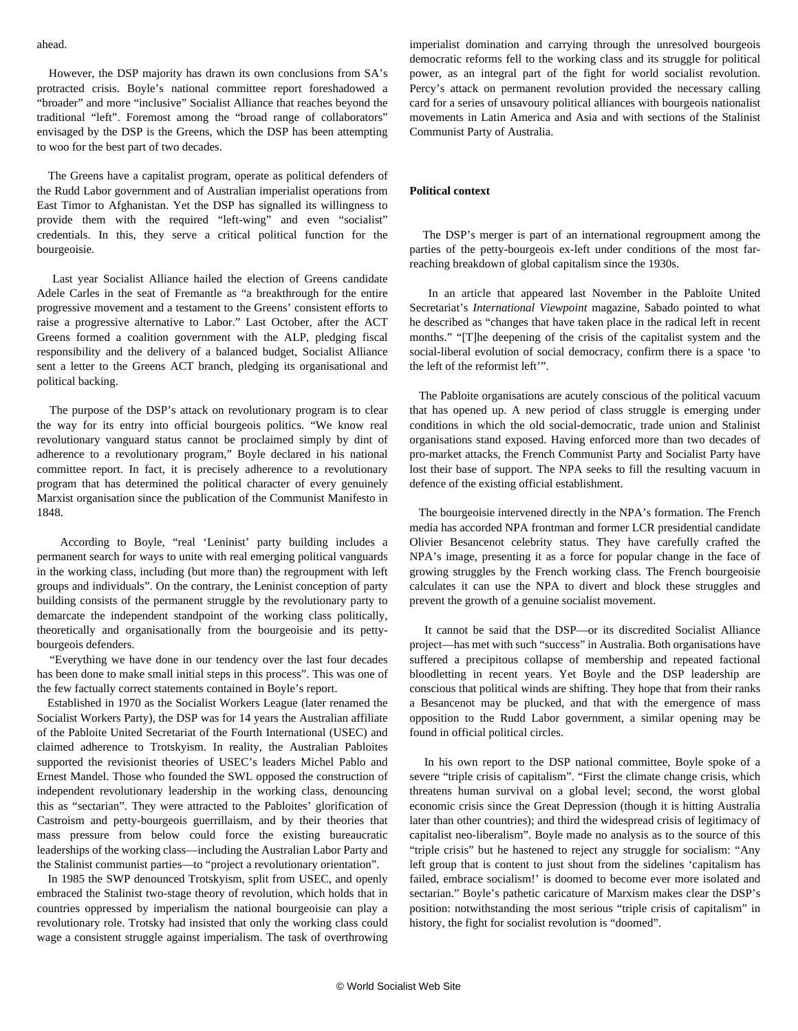#### ahead.

 However, the DSP majority has drawn its own conclusions from SA's protracted crisis. Boyle's national committee report foreshadowed a "broader" and more "inclusive" Socialist Alliance that reaches beyond the traditional "left". Foremost among the "broad range of collaborators" envisaged by the DSP is the Greens, which the DSP has been attempting to woo for the best part of two decades.

 The Greens have a capitalist program, operate as political defenders of the Rudd Labor government and of Australian imperialist operations from East Timor to Afghanistan. Yet the DSP has signalled its willingness to provide them with the required "left-wing" and even "socialist" credentials. In this, they serve a critical political function for the bourgeoisie.

 Last year Socialist Alliance hailed the election of Greens candidate Adele Carles in the seat of Fremantle as "a breakthrough for the entire progressive movement and a testament to the Greens' consistent efforts to raise a progressive alternative to Labor." Last October, after the ACT Greens formed a coalition government with the ALP, pledging fiscal responsibility and the delivery of a balanced budget, Socialist Alliance sent a letter to the Greens ACT branch, pledging its organisational and political backing.

 The purpose of the DSP's attack on revolutionary program is to clear the way for its entry into official bourgeois politics. "We know real revolutionary vanguard status cannot be proclaimed simply by dint of adherence to a revolutionary program," Boyle declared in his national committee report. In fact, it is precisely adherence to a revolutionary program that has determined the political character of every genuinely Marxist organisation since the publication of the Communist Manifesto in 1848.

 According to Boyle, "real 'Leninist' party building includes a permanent search for ways to unite with real emerging political vanguards in the working class, including (but more than) the regroupment with left groups and individuals". On the contrary, the Leninist conception of party building consists of the permanent struggle by the revolutionary party to demarcate the independent standpoint of the working class politically, theoretically and organisationally from the bourgeoisie and its pettybourgeois defenders.

 "Everything we have done in our tendency over the last four decades has been done to make small initial steps in this process". This was one of the few factually correct statements contained in Boyle's report.

 Established in 1970 as the Socialist Workers League (later renamed the Socialist Workers Party), the DSP was for 14 years the Australian affiliate of the Pabloite United Secretariat of the Fourth International (USEC) and claimed adherence to Trotskyism. In reality, the Australian Pabloites supported the revisionist theories of USEC's leaders Michel Pablo and Ernest Mandel. Those who founded the SWL opposed the construction of independent revolutionary leadership in the working class, denouncing this as "sectarian". They were attracted to the Pabloites' glorification of Castroism and petty-bourgeois guerrillaism, and by their theories that mass pressure from below could force the existing bureaucratic leaderships of the working class—including the Australian Labor Party and the Stalinist communist parties—to "project a revolutionary orientation".

 In 1985 the SWP denounced Trotskyism, split from USEC, and openly embraced the Stalinist two-stage theory of revolution, which holds that in countries oppressed by imperialism the national bourgeoisie can play a revolutionary role. Trotsky had insisted that only the working class could wage a consistent struggle against imperialism. The task of overthrowing imperialist domination and carrying through the unresolved bourgeois democratic reforms fell to the working class and its struggle for political power, as an integral part of the fight for world socialist revolution. Percy's attack on permanent revolution provided the necessary calling card for a series of unsavoury political alliances with bourgeois nationalist movements in Latin America and Asia and with sections of the Stalinist Communist Party of Australia.

#### **Political context**

 The DSP's merger is part of an international regroupment among the parties of the petty-bourgeois ex-left under conditions of the most farreaching breakdown of global capitalism since the 1930s.

 In an article that appeared last November in the Pabloite United Secretariat's *International Viewpoint* magazine, Sabado pointed to what he described as "changes that have taken place in the radical left in recent months." "[T]he deepening of the crisis of the capitalist system and the social-liberal evolution of social democracy, confirm there is a space 'to the left of the reformist left'".

 The Pabloite organisations are acutely conscious of the political vacuum that has opened up. A new period of class struggle is emerging under conditions in which the old social-democratic, trade union and Stalinist organisations stand exposed. Having enforced more than two decades of pro-market attacks, the French Communist Party and Socialist Party have lost their base of support. The NPA seeks to fill the resulting vacuum in defence of the existing official establishment.

 The bourgeoisie intervened directly in the NPA's formation. The French media has accorded NPA frontman and former LCR presidential candidate Olivier Besancenot celebrity status. They have carefully crafted the NPA's image, presenting it as a force for popular change in the face of growing struggles by the French working class. The French bourgeoisie calculates it can use the NPA to divert and block these struggles and prevent the growth of a genuine socialist movement.

 It cannot be said that the DSP—or its discredited Socialist Alliance project—has met with such "success" in Australia. Both organisations have suffered a precipitous collapse of membership and repeated factional bloodletting in recent years. Yet Boyle and the DSP leadership are conscious that political winds are shifting. They hope that from their ranks a Besancenot may be plucked, and that with the emergence of mass opposition to the Rudd Labor government, a similar opening may be found in official political circles.

 In his own report to the DSP national committee, Boyle spoke of a severe "triple crisis of capitalism". "First the climate change crisis, which threatens human survival on a global level; second, the worst global economic crisis since the Great Depression (though it is hitting Australia later than other countries); and third the widespread crisis of legitimacy of capitalist neo-liberalism". Boyle made no analysis as to the source of this "triple crisis" but he hastened to reject any struggle for socialism: "Any left group that is content to just shout from the sidelines 'capitalism has failed, embrace socialism!' is doomed to become ever more isolated and sectarian." Boyle's pathetic caricature of Marxism makes clear the DSP's position: notwithstanding the most serious "triple crisis of capitalism" in history, the fight for socialist revolution is "doomed".